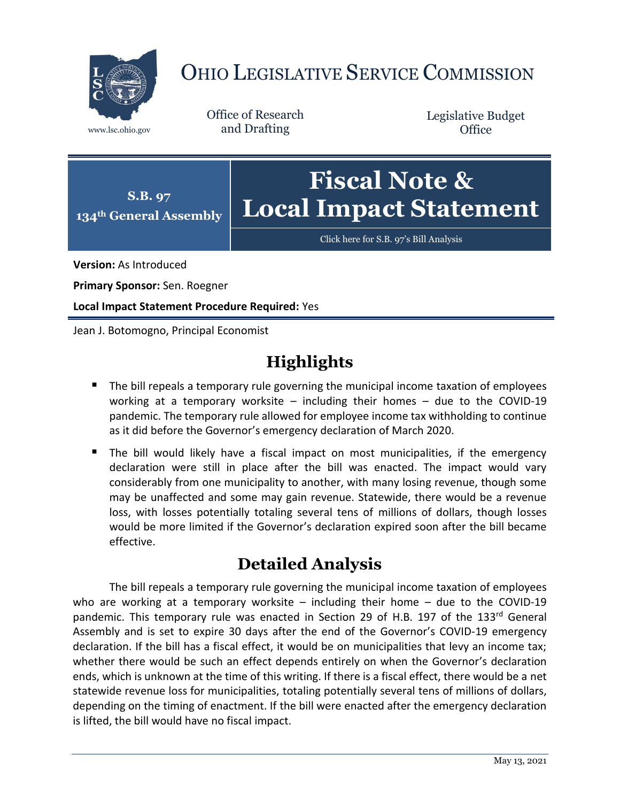

# OHIO LEGISLATIVE SERVICE COMMISSION

Office of Research www.lsc.ohio.gov and Drafting

Legislative Budget **Office** 



[Click here for S.B. 97](https://www.legislature.ohio.gov/legislation/legislation-documents?id=GA134-SB-97)'s Bill Analysis

**Version:** As Introduced

**Primary Sponsor:** Sen. Roegner

**Local Impact Statement Procedure Required:** Yes

Jean J. Botomogno, Principal Economist

# **Highlights**

- The bill repeals a temporary rule governing the municipal income taxation of employees working at a temporary worksite – including their homes – due to the COVID-19 pandemic. The temporary rule allowed for employee income tax withholding to continue as it did before the Governor's emergency declaration of March 2020.
- The bill would likely have a fiscal impact on most municipalities, if the emergency declaration were still in place after the bill was enacted. The impact would vary considerably from one municipality to another, with many losing revenue, though some may be unaffected and some may gain revenue. Statewide, there would be a revenue loss, with losses potentially totaling several tens of millions of dollars, though losses would be more limited if the Governor's declaration expired soon after the bill became effective.

## **Detailed Analysis**

The bill repeals a temporary rule governing the municipal income taxation of employees who are working at a temporary worksite – including their home – due to the COVID-19 pandemic. This temporary rule was enacted in Section 29 of H.B. 197 of the 133rd General Assembly and is set to expire 30 days after the end of the Governor's COVID-19 emergency declaration. If the bill has a fiscal effect, it would be on municipalities that levy an income tax; whether there would be such an effect depends entirely on when the Governor's declaration ends, which is unknown at the time of this writing. If there is a fiscal effect, there would be a net statewide revenue loss for municipalities, totaling potentially several tens of millions of dollars, depending on the timing of enactment. If the bill were enacted after the emergency declaration is lifted, the bill would have no fiscal impact.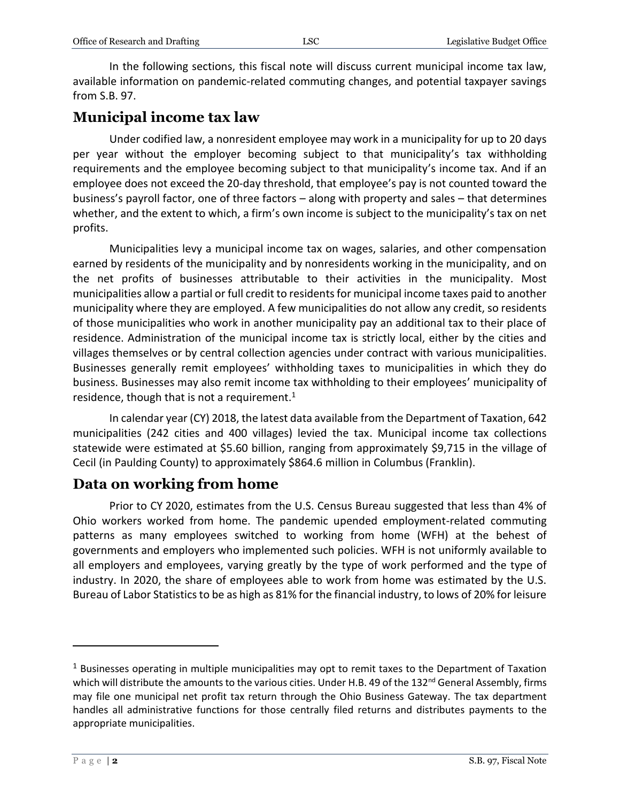In the following sections, this fiscal note will discuss current municipal income tax law, available information on pandemic-related commuting changes, and potential taxpayer savings from S.B. 97.

#### **Municipal income tax law**

Under codified law, a nonresident employee may work in a municipality for up to 20 days per year without the employer becoming subject to that municipality's tax withholding requirements and the employee becoming subject to that municipality's income tax. And if an employee does not exceed the 20-day threshold, that employee's pay is not counted toward the business's payroll factor, one of three factors – along with property and sales – that determines whether, and the extent to which, a firm's own income is subject to the municipality's tax on net profits.

Municipalities levy a municipal income tax on wages, salaries, and other compensation earned by residents of the municipality and by nonresidents working in the municipality, and on the net profits of businesses attributable to their activities in the municipality. Most municipalities allow a partial or full credit to residents for municipal income taxes paid to another municipality where they are employed. A few municipalities do not allow any credit, so residents of those municipalities who work in another municipality pay an additional tax to their place of residence. Administration of the municipal income tax is strictly local, either by the cities and villages themselves or by central collection agencies under contract with various municipalities. Businesses generally remit employees' withholding taxes to municipalities in which they do business. Businesses may also remit income tax withholding to their employees' municipality of residence, though that is not a requirement. $1$ 

In calendar year (CY) 2018, the latest data available from the Department of Taxation, 642 municipalities (242 cities and 400 villages) levied the tax. Municipal income tax collections statewide were estimated at \$5.60 billion, ranging from approximately \$9,715 in the village of Cecil (in Paulding County) to approximately \$864.6 million in Columbus (Franklin).

#### **Data on working from home**

Prior to CY 2020, estimates from the U.S. Census Bureau suggested that less than 4% of Ohio workers worked from home. The pandemic upended employment-related commuting patterns as many employees switched to working from home (WFH) at the behest of governments and employers who implemented such policies. WFH is not uniformly available to all employers and employees, varying greatly by the type of work performed and the type of industry. In 2020, the share of employees able to work from home was estimated by the U.S. Bureau of Labor Statistics to be as high as 81% for the financial industry, to lows of 20% for leisure

 $1$  Businesses operating in multiple municipalities may opt to remit taxes to the Department of Taxation which will distribute the amounts to the various cities. Under H.B. 49 of the 132<sup>nd</sup> General Assembly, firms may file one municipal net profit tax return through the Ohio Business Gateway. The tax department handles all administrative functions for those centrally filed returns and distributes payments to the appropriate municipalities.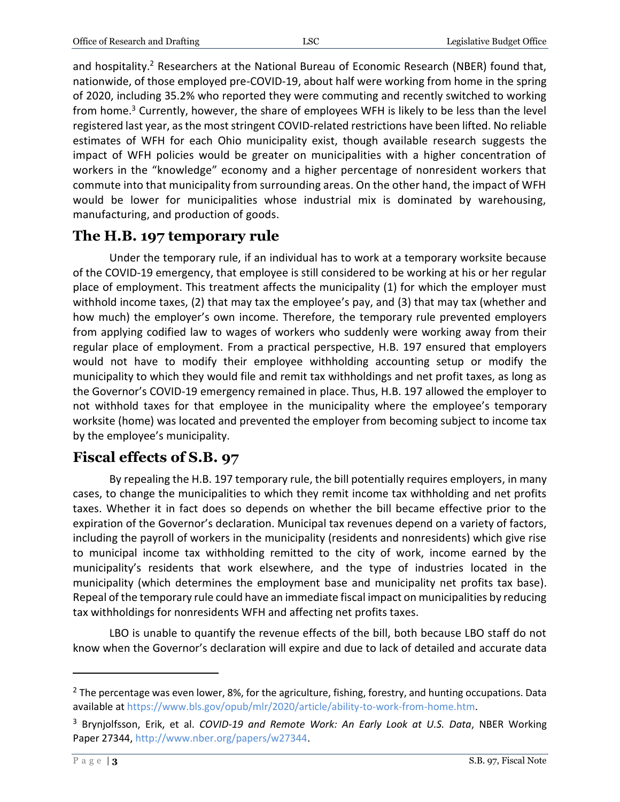and hospitality.<sup>2</sup> Researchers at the National Bureau of Economic Research (NBER) found that, nationwide, of those employed pre-COVID-19, about half were working from home in the spring of 2020, including 35.2% who reported they were commuting and recently switched to working from home.<sup>3</sup> Currently, however, the share of employees WFH is likely to be less than the level registered last year, as the most stringent COVID-related restrictions have been lifted. No reliable estimates of WFH for each Ohio municipality exist, though available research suggests the impact of WFH policies would be greater on municipalities with a higher concentration of workers in the "knowledge" economy and a higher percentage of nonresident workers that commute into that municipality from surrounding areas. On the other hand, the impact of WFH would be lower for municipalities whose industrial mix is dominated by warehousing, manufacturing, and production of goods.

## **The H.B. 197 temporary rule**

Under the temporary rule, if an individual has to work at a temporary worksite because of the COVID-19 emergency, that employee is still considered to be working at his or her regular place of employment. This treatment affects the municipality (1) for which the employer must withhold income taxes, (2) that may tax the employee's pay, and (3) that may tax (whether and how much) the employer's own income. Therefore, the temporary rule prevented employers from applying codified law to wages of workers who suddenly were working away from their regular place of employment. From a practical perspective, H.B. 197 ensured that employers would not have to modify their employee withholding accounting setup or modify the municipality to which they would file and remit tax withholdings and net profit taxes, as long as the Governor's COVID-19 emergency remained in place. Thus, H.B. 197 allowed the employer to not withhold taxes for that employee in the municipality where the employee's temporary worksite (home) was located and prevented the employer from becoming subject to income tax by the employee's municipality.

### **Fiscal effects of S.B. 97**

By repealing the H.B. 197 temporary rule, the bill potentially requires employers, in many cases, to change the municipalities to which they remit income tax withholding and net profits taxes. Whether it in fact does so depends on whether the bill became effective prior to the expiration of the Governor's declaration. Municipal tax revenues depend on a variety of factors, including the payroll of workers in the municipality (residents and nonresidents) which give rise to municipal income tax withholding remitted to the city of work, income earned by the municipality's residents that work elsewhere, and the type of industries located in the municipality (which determines the employment base and municipality net profits tax base). Repeal of the temporary rule could have an immediate fiscal impact on municipalities by reducing tax withholdings for nonresidents WFH and affecting net profits taxes.

LBO is unable to quantify the revenue effects of the bill, both because LBO staff do not know when the Governor's declaration will expire and due to lack of detailed and accurate data

 $2$  The percentage was even lower, 8%, for the agriculture, fishing, forestry, and hunting occupations. Data available at [https://www.bls.gov/opub/mlr/2020/article/ability-to-work-from-home.htm.](https://www.bls.gov/opub/mlr/2020/article/ability-to-work-from-home.htm)

<sup>3</sup> Brynjolfsson, Erik, et al. *COVID-19 and Remote Work: An Early Look at U.S. Data*, NBER Working Paper 27344, [http://www.nber.org/papers/w27344.](http://www.nber.org/papers/w27344)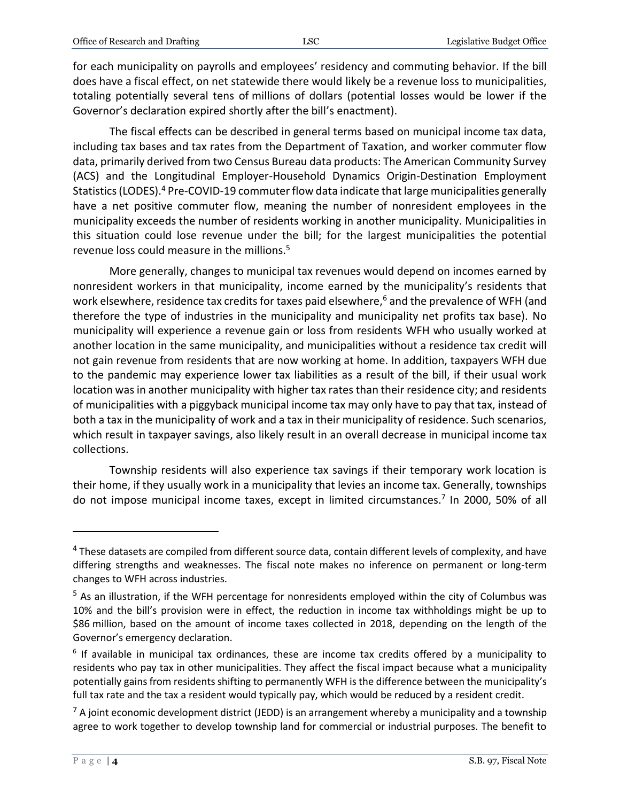for each municipality on payrolls and employees' residency and commuting behavior. If the bill does have a fiscal effect, on net statewide there would likely be a revenue loss to municipalities, totaling potentially several tens of millions of dollars (potential losses would be lower if the Governor's declaration expired shortly after the bill's enactment).

The fiscal effects can be described in general terms based on municipal income tax data, including tax bases and tax rates from the Department of Taxation, and worker commuter flow data, primarily derived from two Census Bureau data products: The American Community Survey (ACS) and the Longitudinal Employer-Household Dynamics Origin-Destination Employment Statistics (LODES).<sup>4</sup> Pre-COVID-19 commuter flow data indicate that large municipalities generally have a net positive commuter flow, meaning the number of nonresident employees in the municipality exceeds the number of residents working in another municipality. Municipalities in this situation could lose revenue under the bill; for the largest municipalities the potential revenue loss could measure in the millions.<sup>5</sup>

More generally, changes to municipal tax revenues would depend on incomes earned by nonresident workers in that municipality, income earned by the municipality's residents that work elsewhere, residence tax credits for taxes paid elsewhere, $6$  and the prevalence of WFH (and therefore the type of industries in the municipality and municipality net profits tax base). No municipality will experience a revenue gain or loss from residents WFH who usually worked at another location in the same municipality, and municipalities without a residence tax credit will not gain revenue from residents that are now working at home. In addition, taxpayers WFH due to the pandemic may experience lower tax liabilities as a result of the bill, if their usual work location was in another municipality with higher tax rates than their residence city; and residents of municipalities with a piggyback municipal income tax may only have to pay that tax, instead of both a tax in the municipality of work and a tax in their municipality of residence. Such scenarios, which result in taxpayer savings, also likely result in an overall decrease in municipal income tax collections.

Township residents will also experience tax savings if their temporary work location is their home, if they usually work in a municipality that levies an income tax. Generally, townships do not impose municipal income taxes, except in limited circumstances.<sup>7</sup> In 2000, 50% of all

<sup>&</sup>lt;sup>4</sup> These datasets are compiled from different source data, contain different levels of complexity, and have differing strengths and weaknesses. The fiscal note makes no inference on permanent or long-term changes to WFH across industries.

<sup>&</sup>lt;sup>5</sup> As an illustration, if the WFH percentage for nonresidents employed within the city of Columbus was 10% and the bill's provision were in effect, the reduction in income tax withholdings might be up to \$86 million, based on the amount of income taxes collected in 2018, depending on the length of the Governor's emergency declaration.

<sup>&</sup>lt;sup>6</sup> If available in municipal tax ordinances, these are income tax credits offered by a municipality to residents who pay tax in other municipalities. They affect the fiscal impact because what a municipality potentially gains from residents shifting to permanently WFH is the difference between the municipality's full tax rate and the tax a resident would typically pay, which would be reduced by a resident credit.

 $<sup>7</sup>$  A joint economic development district (JEDD) is an arrangement whereby a municipality and a township</sup> agree to work together to develop township land for commercial or industrial purposes. The benefit to